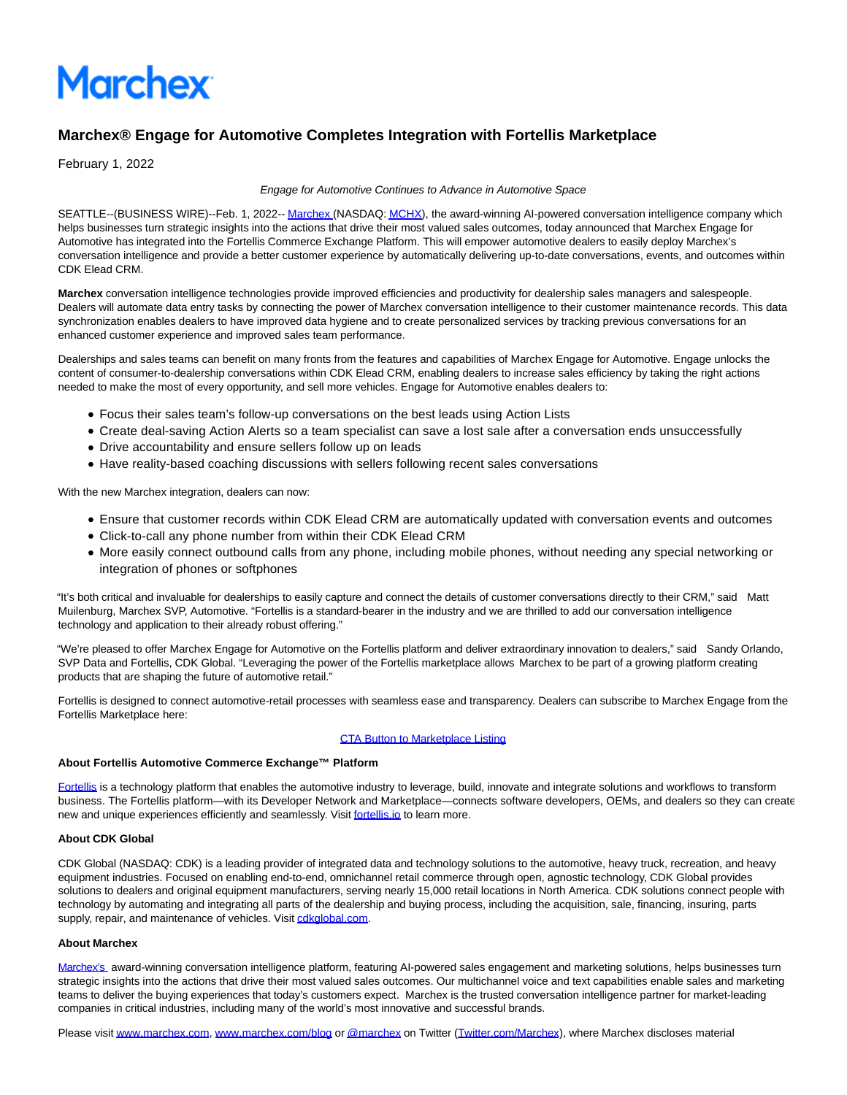

# **Marchex® Engage for Automotive Completes Integration with Fortellis Marketplace**

February 1, 2022

#### Engage for Automotive Continues to Advance in Automotive Space

SEATTLE--(BUSINESS WIRE)--Feb. 1, 2022-[- Marchex](https://cts.businesswire.com/ct/CT?id=smartlink&url=http%3A%2F%2Fwww.marchex.com&esheet=52571389&newsitemid=20220201005147&lan=en-US&anchor=Marchex&index=1&md5=2f535e45314ef63f44a42e384afa8bdc) (NASDAQ[: MCHX\),](https://cts.businesswire.com/ct/CT?id=smartlink&url=https%3A%2F%2Fwww.marchex.com%2F&esheet=52571389&newsitemid=20220201005147&lan=en-US&anchor=MCHX&index=2&md5=bef9bbde48ece7e2e8f37955663fd851) the award-winning AI-powered conversation intelligence company which helps businesses turn strategic insights into the actions that drive their most valued sales outcomes, today announced that Marchex Engage for Automotive has integrated into the Fortellis Commerce Exchange Platform. This will empower automotive dealers to easily deploy Marchex's conversation intelligence and provide a better customer experience by automatically delivering up-to-date conversations, events, and outcomes within CDK Elead CRM.

**Marchex** conversation intelligence technologies provide improved efficiencies and productivity for dealership sales managers and salespeople. Dealers will automate data entry tasks by connecting the power of Marchex conversation intelligence to their customer maintenance records. This data synchronization enables dealers to have improved data hygiene and to create personalized services by tracking previous conversations for an enhanced customer experience and improved sales team performance.

Dealerships and sales teams can benefit on many fronts from the features and capabilities of Marchex Engage for Automotive. Engage unlocks the content of consumer-to-dealership conversations within CDK Elead CRM, enabling dealers to increase sales efficiency by taking the right actions needed to make the most of every opportunity, and sell more vehicles. Engage for Automotive enables dealers to:

- Focus their sales team's follow-up conversations on the best leads using Action Lists
- Create deal-saving Action Alerts so a team specialist can save a lost sale after a conversation ends unsuccessfully
- Drive accountability and ensure sellers follow up on leads
- Have reality-based coaching discussions with sellers following recent sales conversations

With the new Marchex integration, dealers can now:

- Ensure that customer records within CDK Elead CRM are automatically updated with conversation events and outcomes
- Click-to-call any phone number from within their CDK Elead CRM
- More easily connect outbound calls from any phone, including mobile phones, without needing any special networking or integration of phones or softphones

"It's both critical and invaluable for dealerships to easily capture and connect the details of customer conversations directly to their CRM," said Matt Muilenburg, Marchex SVP, Automotive. "Fortellis is a standard-bearer in the industry and we are thrilled to add our conversation intelligence technology and application to their already robust offering."

"We're pleased to offer Marchex Engage for Automotive on the Fortellis platform and deliver extraordinary innovation to dealers," said Sandy Orlando, SVP Data and Fortellis, CDK Global. "Leveraging the power of the Fortellis marketplace allows Marchex to be part of a growing platform creating products that are shaping the future of automotive retail."

Fortellis is designed to connect automotive-retail processes with seamless ease and transparency. Dealers can subscribe to Marchex Engage from the Fortellis Marketplace here:

# [CTA Button to Marketplace Listing](https://cts.businesswire.com/ct/CT?id=smartlink&url=https%3A%2F%2Fmarketplace.fortellis.io%2Fsolutions%2Fb03db0b8-1705-44a6-9dd7-052c841772bf&esheet=52571389&newsitemid=20220201005147&lan=en-US&anchor=CTA+Button+to+Marketplace+Listing&index=3&md5=c2313311d4cb09aabc6824a6fe17a845)

### **About Fortellis Automotive Commerce Exchange™ Platform**

[Fortellis i](https://cts.businesswire.com/ct/CT?id=smartlink&url=http%3A%2F%2Fwww.fortellis.io%2F&esheet=52571389&newsitemid=20220201005147&lan=en-US&anchor=Fortellis&index=4&md5=3a35176a49cb9af80fdabed201fb17ad)s a technology platform that enables the automotive industry to leverage, build, innovate and integrate solutions and workflows to transform business. The Fortellis platform—with its Developer Network and Marketplace—connects software developers, OEMs, and dealers so they can create new and unique experiences efficiently and seamlessly. Visit [fortellis.io t](https://cts.businesswire.com/ct/CT?id=smartlink&url=http%3A%2F%2Fwww.fortellis.io%2F&esheet=52571389&newsitemid=20220201005147&lan=en-US&anchor=fortellis.io&index=5&md5=face745b5dc58a136350d36cbc7fc691)o learn more.

### **About CDK Global**

CDK Global (NASDAQ: CDK) is a leading provider of integrated data and technology solutions to the automotive, heavy truck, recreation, and heavy equipment industries. Focused on enabling end-to-end, omnichannel retail commerce through open, agnostic technology, CDK Global provides solutions to dealers and original equipment manufacturers, serving nearly 15,000 retail locations in North America. CDK solutions connect people with technology by automating and integrating all parts of the dealership and buying process, including the acquisition, sale, financing, insuring, parts supply, repair, and maintenance of vehicles. Visit [cdkglobal.com.](http://cdkglobal.com/)

# **About Marchex**

[Marchex's a](https://cts.businesswire.com/ct/CT?id=smartlink&url=http%3A%2F%2Fwww.marchex.com&esheet=52571389&newsitemid=20220201005147&lan=en-US&anchor=Marchex%26%238217%3Bs&index=6&md5=7d8d4f7664203c08971456f0d7f7ba21)ward-winning conversation intelligence platform, featuring AI-powered sales engagement and marketing solutions, helps businesses turn strategic insights into the actions that drive their most valued sales outcomes. Our multichannel voice and text capabilities enable sales and marketing teams to deliver the buying experiences that today's customers expect. Marchex is the trusted conversation intelligence partner for market-leading companies in critical industries, including many of the world's most innovative and successful brands.

Please visi[t www.marchex.com,](https://cts.businesswire.com/ct/CT?id=smartlink&url=http%3A%2F%2Fwww.marchex.com&esheet=52571389&newsitemid=20220201005147&lan=en-US&anchor=www.marchex.com&index=7&md5=865dbcc4952404ff40a3a5e8802d146d) [www.marchex.com/blog o](https://cts.businesswire.com/ct/CT?id=smartlink&url=http%3A%2F%2Fwww.marchex.com%2Fblog&esheet=52571389&newsitemid=20220201005147&lan=en-US&anchor=www.marchex.com%2Fblog&index=8&md5=7612af67bd9c9e8366f2617fc5dc0a7c)[r @marchex o](https://cts.businesswire.com/ct/CT?id=smartlink&url=http%3A%2F%2Fwww.twitter.com%2Fmarchex&esheet=52571389&newsitemid=20220201005147&lan=en-US&anchor=%40marchex&index=9&md5=2a396a76740fad7bc6c38b6a599a72ff)n Twitter [\(Twitter.com/Marchex\)](https://cts.businesswire.com/ct/CT?id=smartlink&url=http%3A%2F%2Fwww.twitter.com%2Fmarchex&esheet=52571389&newsitemid=20220201005147&lan=en-US&anchor=Twitter.com%2FMarchex&index=10&md5=10b27deac99e1d787fe80b8296d5c9c2), where Marchex discloses material